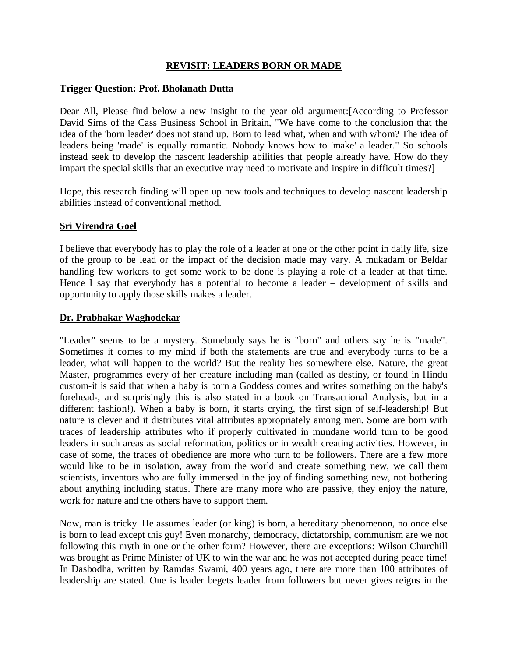## **REVISIT: LEADERS BORN OR MADE**

### **Trigger Question: Prof. Bholanath Dutta**

Dear All, Please find below a new insight to the year old argument:[According to Professor David Sims of the Cass Business School in Britain, "We have come to the conclusion that the idea of the 'born leader' does not stand up. Born to lead what, when and with whom? The idea of leaders being 'made' is equally romantic. Nobody knows how to 'make' a leader." So schools instead seek to develop the nascent leadership abilities that people already have. How do they impart the special skills that an executive may need to motivate and inspire in difficult times?]

Hope, this research finding will open up new tools and techniques to develop nascent leadership abilities instead of conventional method.

## **Sri Virendra Goel**

I believe that everybody has to play the role of a leader at one or the other point in daily life, size of the group to be lead or the impact of the decision made may vary. A mukadam or Beldar handling few workers to get some work to be done is playing a role of a leader at that time. Hence I say that everybody has a potential to become a leader – development of skills and opportunity to apply those skills makes a leader.

### **Dr. Prabhakar Waghodekar**

"Leader" seems to be a mystery. Somebody says he is "born" and others say he is "made". Sometimes it comes to my mind if both the statements are true and everybody turns to be a leader, what will happen to the world? But the reality lies somewhere else. Nature, the great Master, programmes every of her creature including man (called as destiny, or found in Hindu custom-it is said that when a baby is born a Goddess comes and writes something on the baby's forehead-, and surprisingly this is also stated in a book on Transactional Analysis, but in a different fashion!). When a baby is born, it starts crying, the first sign of self-leadership! But nature is clever and it distributes vital attributes appropriately among men. Some are born with traces of leadership attributes who if properly cultivated in mundane world turn to be good leaders in such areas as social reformation, politics or in wealth creating activities. However, in case of some, the traces of obedience are more who turn to be followers. There are a few more would like to be in isolation, away from the world and create something new, we call them scientists, inventors who are fully immersed in the joy of finding something new, not bothering about anything including status. There are many more who are passive, they enjoy the nature, work for nature and the others have to support them.

Now, man is tricky. He assumes leader (or king) is born, a hereditary phenomenon, no once else is born to lead except this guy! Even monarchy, democracy, dictatorship, communism are we not following this myth in one or the other form? However, there are exceptions: Wilson Churchill was brought as Prime Minister of UK to win the war and he was not accepted during peace time! In Dasbodha, written by Ramdas Swami, 400 years ago, there are more than 100 attributes of leadership are stated. One is leader begets leader from followers but never gives reigns in the